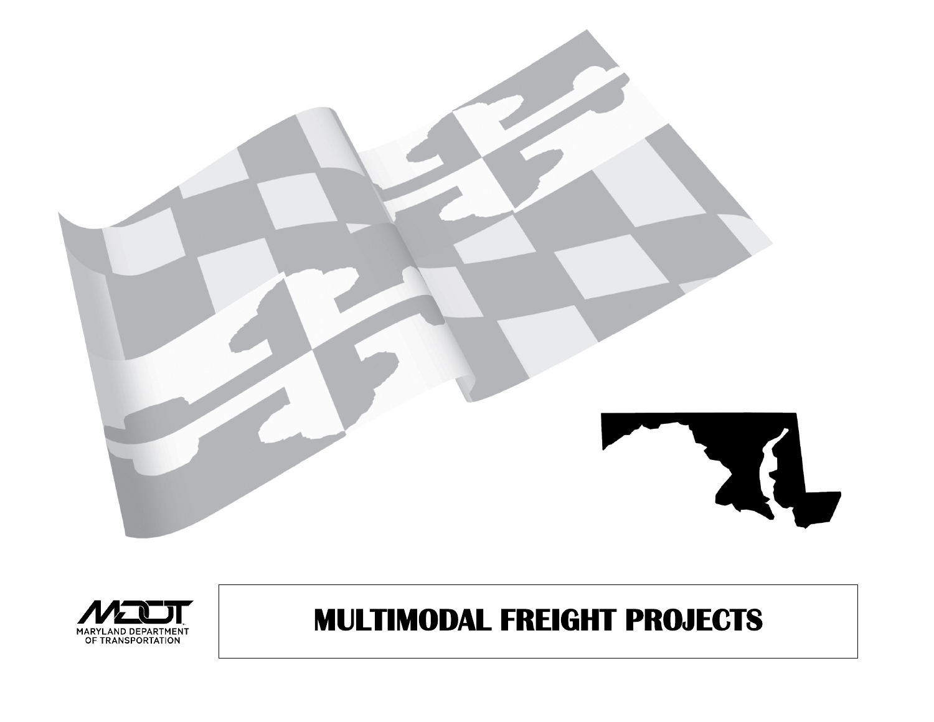



# **MULTIMODAL FREIGHT PROJECTS**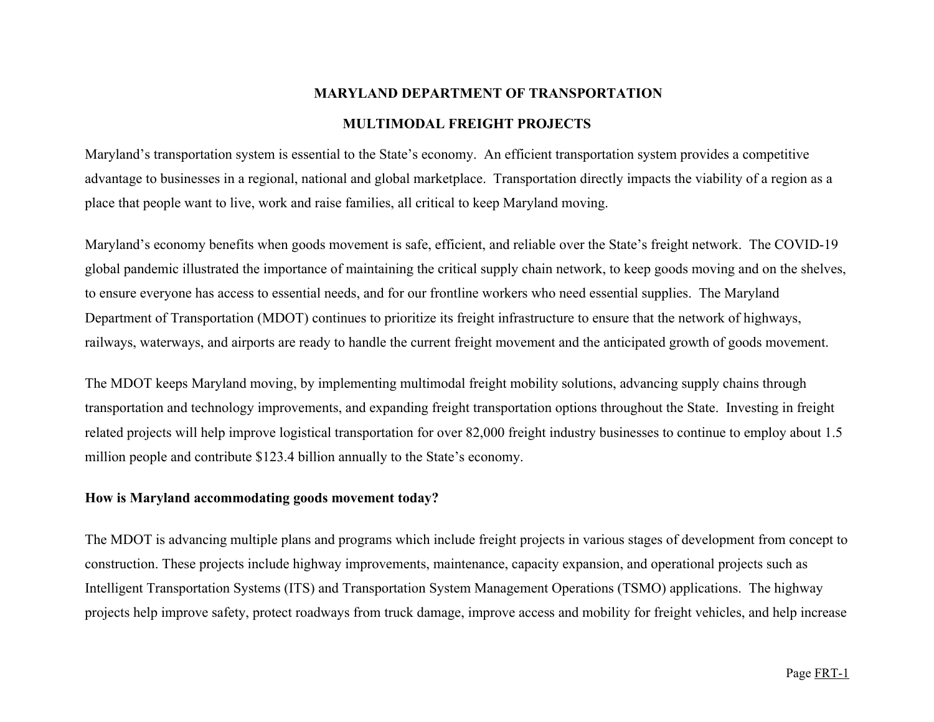# **MARYLAND DEPARTMENT OF TRANSPORTATION**

#### **MULTIMODAL FREIGHT PROJECTS**

Maryland's transportation system is essential to the State's economy. An efficient transportation system provides a competitive advantage to businesses in a regional, national and global marketplace. Transportation directly impacts the viability of a region as a place that people want to live, work and raise families, all critical to keep Maryland moving.

Maryland's economy benefits when goods movement is safe, efficient, and reliable over the State's freight network. The COVID-19 global pandemic illustrated the importance of maintaining the critical supply chain network, to keep goods moving and on the shelves, to ensure everyone has access to essential needs, and for our frontline workers who need essential supplies. The Maryland Department of Transportation (MDOT) continues to prioritize its freight infrastructure to ensure that the network of highways, railways, waterways, and airports are ready to handle the current freight movement and the anticipated growth of goods movement.

The MDOT keeps Maryland moving, by implementing multimodal freight mobility solutions, advancing supply chains through transportation and technology improvements, and expanding freight transportation options throughout the State. Investing in freight related projects will help improve logistical transportation for over 82,000 freight industry businesses to continue to employ about 1.5 million people and contribute \$123.4 billion annually to the State's economy.

#### **How is Maryland accommodating goods movement today?**

The MDOT is advancing multiple plans and programs which include freight projects in various stages of development from concept to construction. These projects include highway improvements, maintenance, capacity expansion, and operational projects such as Intelligent Transportation Systems (ITS) and Transportation System Management Operations (TSMO) applications. The highway projects help improve safety, protect roadways from truck damage, improve access and mobility for freight vehicles, and help increase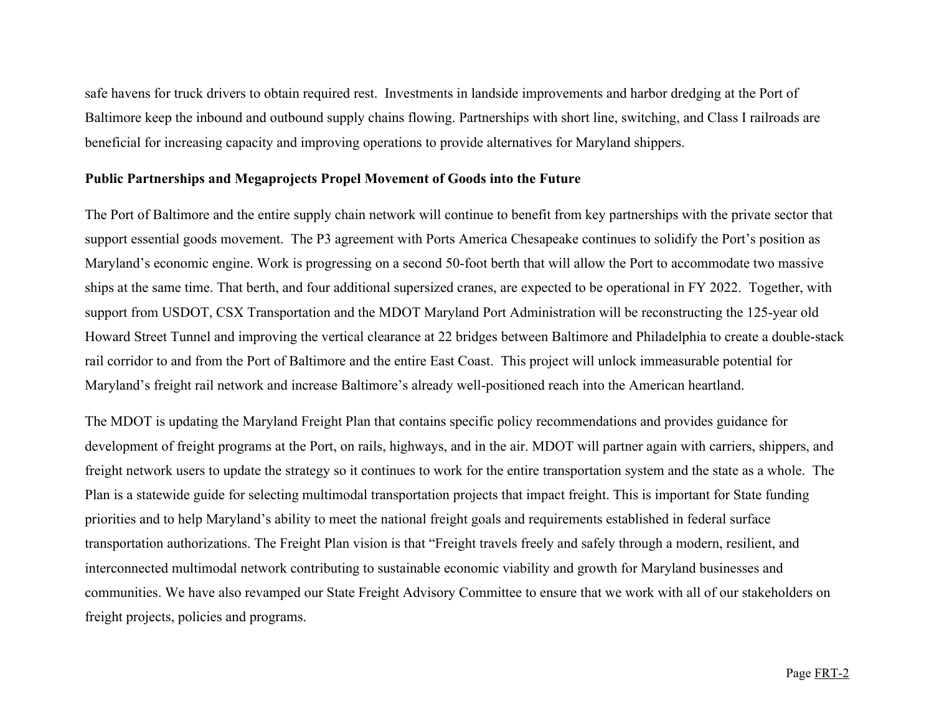safe havens for truck drivers to obtain required rest. Investments in landside improvements and harbor dredging at the Port of Baltimore keep the inbound and outbound supply chains flowing. Partnerships with short line, switching, and Class I railroads are beneficial for increasing capacity and improving operations to provide alternatives for Maryland shippers.

#### **Public Partnerships and Megaprojects Propel Movement of Goods into the Future**

The Port of Baltimore and the entire supply chain network will continue to benefit from key partnerships with the private sector that support essential goods movement. The P3 agreement with Ports America Chesapeake continues to solidify the Port's position as Maryland's economic engine. Work is progressing on a second 50-foot berth that will allow the Port to accommodate two massive ships at the same time. That berth, and four additional supersized cranes, are expected to be operational in FY 2022. Together, with support from USDOT, CSX Transportation and the MDOT Maryland Port Administration will be reconstructing the 125-year old Howard Street Tunnel and improving the vertical clearance at 22 bridges between Baltimore and Philadelphia to create a double-stack rail corridor to and from the Port of Baltimore and the entire East Coast. This project will unlock immeasurable potential for Maryland's freight rail network and increase Baltimore's already well-positioned reach into the American heartland.

The MDOT is updating the Maryland Freight Plan that contains specific policy recommendations and provides guidance for development of freight programs at the Port, on rails, highways, and in the air. MDOT will partner again with carriers, shippers, and freight network users to update the strategy so it continues to work for the entire transportation system and the state as a whole. The Plan is a statewide guide for selecting multimodal transportation projects that impact freight. This is important for State funding priorities and to help Maryland's ability to meet the national freight goals and requirements established in federal surface transportation authorizations. The Freight Plan vision is that "Freight travels freely and safely through a modern, resilient, and interconnected multimodal network contributing to sustainable economic viability and growth for Maryland businesses and communities. We have also revamped our State Freight Advisory Committee to ensure that we work with all of our stakeholders on freight projects, policies and programs.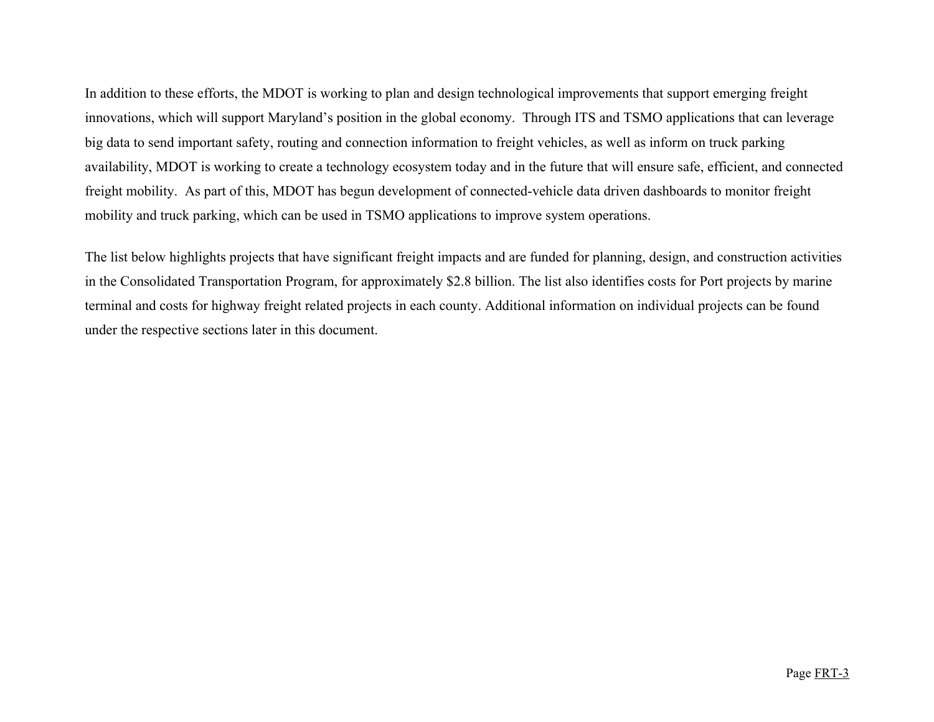In addition to these efforts, the MDOT is working to plan and design technological improvements that support emerging freight innovations, which will support Maryland's position in the global economy. Through ITS and TSMO applications that can leverage big data to send important safety, routing and connection information to freight vehicles, as well as inform on truck parking availability, MDOT is working to create a technology ecosystem today and in the future that will ensure safe, efficient, and connected freight mobility. As part of this, MDOT has begun development of connected-vehicle data driven dashboards to monitor freight mobility and truck parking, which can be used in TSMO applications to improve system operations.

The list below highlights projects that have significant freight impacts and are funded for planning, design, and construction activities in the Consolidated Transportation Program, for approximately \$2.8 billion. The list also identifies costs for Port projects by marine terminal and costs for highway freight related projects in each county. Additional information on individual projects can be found under the respective sections later in this document.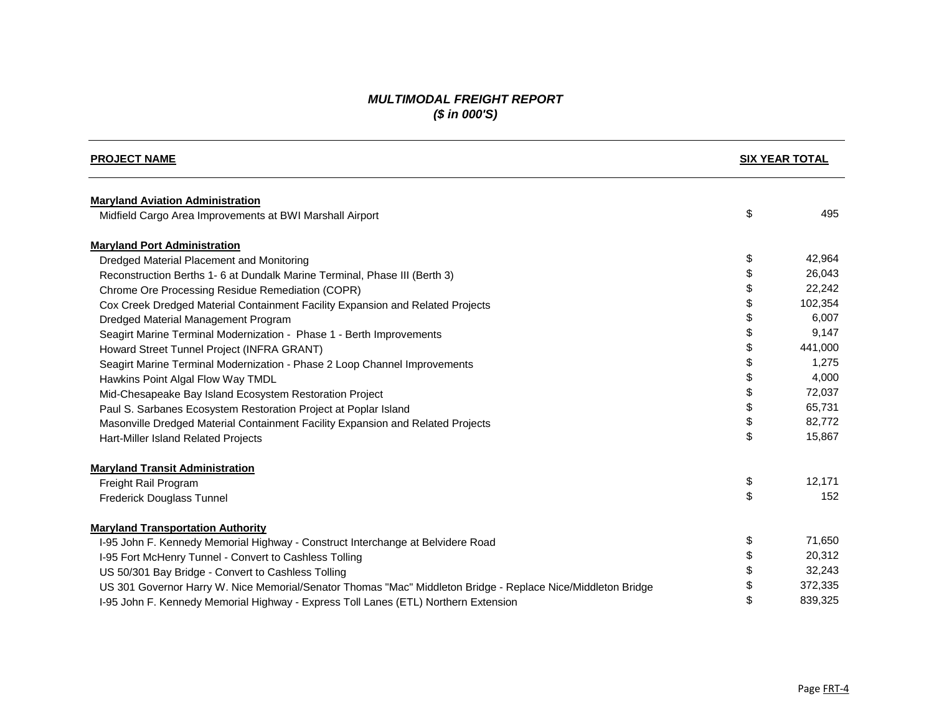#### *MULTIMODAL FREIGHT REPORT (\$ in 000'S)*

| <b>PROJECT NAME</b>                                                                                          |    | <b>SIX YEAR TOTAL</b> |  |
|--------------------------------------------------------------------------------------------------------------|----|-----------------------|--|
| <b>Maryland Aviation Administration</b>                                                                      |    |                       |  |
| Midfield Cargo Area Improvements at BWI Marshall Airport                                                     | \$ | 495                   |  |
| <b>Maryland Port Administration</b>                                                                          |    |                       |  |
| Dredged Material Placement and Monitoring                                                                    | \$ | 42,964                |  |
| Reconstruction Berths 1- 6 at Dundalk Marine Terminal, Phase III (Berth 3)                                   | \$ | 26,043                |  |
| Chrome Ore Processing Residue Remediation (COPR)                                                             | \$ | 22,242                |  |
| Cox Creek Dredged Material Containment Facility Expansion and Related Projects                               | \$ | 102,354               |  |
| Dredged Material Management Program                                                                          | \$ | 6,007                 |  |
| Seagirt Marine Terminal Modernization - Phase 1 - Berth Improvements                                         | \$ | 9,147                 |  |
| Howard Street Tunnel Project (INFRA GRANT)                                                                   |    | 441,000               |  |
| Seagirt Marine Terminal Modernization - Phase 2 Loop Channel Improvements                                    | \$ | 1,275                 |  |
| Hawkins Point Algal Flow Way TMDL                                                                            | \$ | 4,000                 |  |
| Mid-Chesapeake Bay Island Ecosystem Restoration Project                                                      | \$ | 72,037                |  |
| Paul S. Sarbanes Ecosystem Restoration Project at Poplar Island                                              | \$ | 65,731                |  |
| Masonville Dredged Material Containment Facility Expansion and Related Projects                              | \$ | 82,772                |  |
| Hart-Miller Island Related Projects                                                                          | \$ | 15,867                |  |
| <b>Maryland Transit Administration</b>                                                                       |    |                       |  |
| Freight Rail Program                                                                                         | \$ | 12,171                |  |
| <b>Frederick Douglass Tunnel</b>                                                                             | \$ | 152                   |  |
| <b>Maryland Transportation Authority</b>                                                                     |    |                       |  |
| I-95 John F. Kennedy Memorial Highway - Construct Interchange at Belvidere Road                              | \$ | 71,650                |  |
| I-95 Fort McHenry Tunnel - Convert to Cashless Tolling                                                       | \$ | 20,312                |  |
| US 50/301 Bay Bridge - Convert to Cashless Tolling                                                           |    | 32,243                |  |
| US 301 Governor Harry W. Nice Memorial/Senator Thomas "Mac" Middleton Bridge - Replace Nice/Middleton Bridge | \$ | 372,335               |  |
| I-95 John F. Kennedy Memorial Highway - Express Toll Lanes (ETL) Northern Extension                          | \$ | 839,325               |  |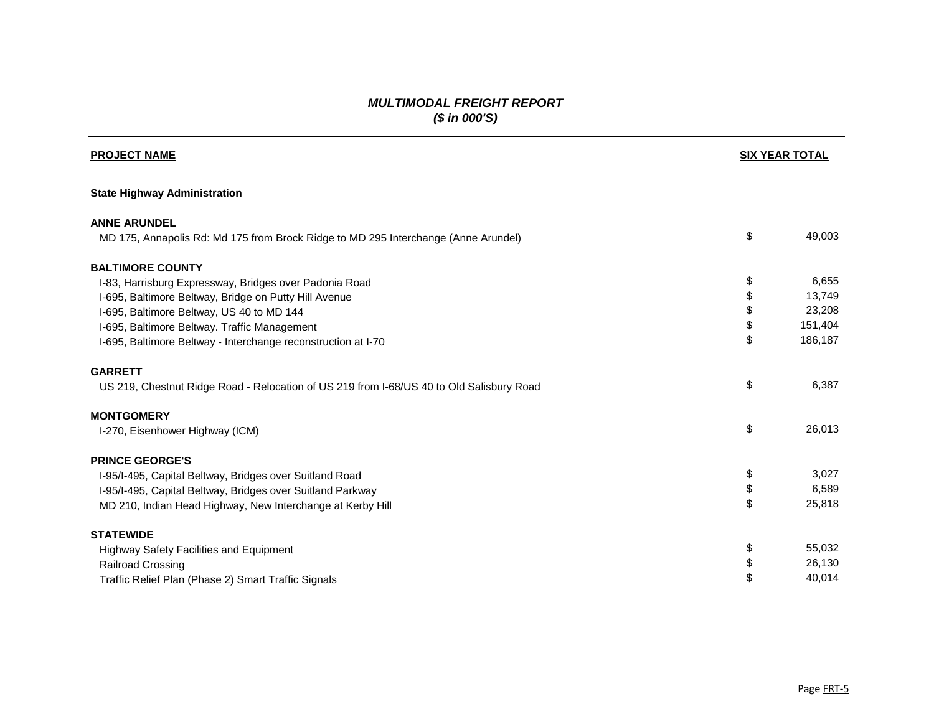## *MULTIMODAL FREIGHT REPORT (\$ in 000'S)*

| <b>PROJECT NAME</b>                                                                      |    | <b>SIX YEAR TOTAL</b> |  |
|------------------------------------------------------------------------------------------|----|-----------------------|--|
| <b>State Highway Administration</b>                                                      |    |                       |  |
| <b>ANNE ARUNDEL</b>                                                                      |    |                       |  |
| MD 175, Annapolis Rd: Md 175 from Brock Ridge to MD 295 Interchange (Anne Arundel)       | \$ | 49,003                |  |
| <b>BALTIMORE COUNTY</b>                                                                  |    |                       |  |
| I-83, Harrisburg Expressway, Bridges over Padonia Road                                   | \$ | 6,655                 |  |
| I-695, Baltimore Beltway, Bridge on Putty Hill Avenue                                    | \$ | 13,749                |  |
| I-695, Baltimore Beltway, US 40 to MD 144                                                |    | 23,208                |  |
| I-695, Baltimore Beltway. Traffic Management                                             | \$ | 151,404               |  |
| I-695, Baltimore Beltway - Interchange reconstruction at I-70                            | \$ | 186,187               |  |
| <b>GARRETT</b>                                                                           |    |                       |  |
| US 219, Chestnut Ridge Road - Relocation of US 219 from I-68/US 40 to Old Salisbury Road | \$ | 6,387                 |  |
| <b>MONTGOMERY</b>                                                                        |    |                       |  |
| I-270, Eisenhower Highway (ICM)                                                          | \$ | 26,013                |  |
| <b>PRINCE GEORGE'S</b>                                                                   |    |                       |  |
| I-95/I-495, Capital Beltway, Bridges over Suitland Road                                  | \$ | 3,027                 |  |
| I-95/I-495, Capital Beltway, Bridges over Suitland Parkway                               | \$ | 6,589                 |  |
| MD 210, Indian Head Highway, New Interchange at Kerby Hill                               | \$ | 25,818                |  |
| <b>STATEWIDE</b>                                                                         |    |                       |  |
| <b>Highway Safety Facilities and Equipment</b>                                           | \$ | 55,032                |  |
| <b>Railroad Crossing</b>                                                                 | \$ | 26,130                |  |
| Traffic Relief Plan (Phase 2) Smart Traffic Signals                                      | \$ | 40,014                |  |